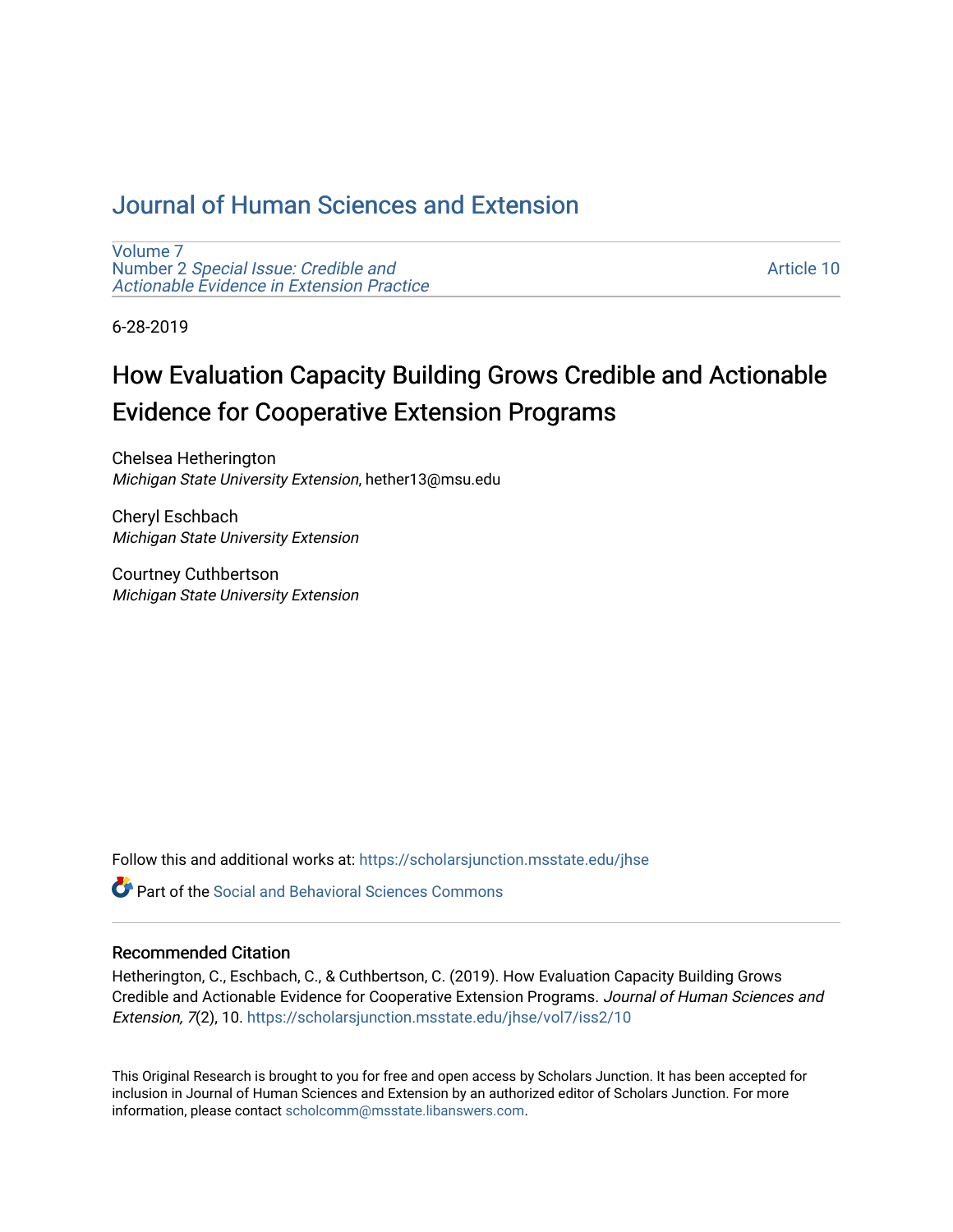## [Journal of Human Sciences and Extension](https://scholarsjunction.msstate.edu/jhse)

[Volume 7](https://scholarsjunction.msstate.edu/jhse/vol7) Number 2 [Special Issue: Credible and](https://scholarsjunction.msstate.edu/jhse/vol7/iss2)  [Actionable Evidence in Extension Practice](https://scholarsjunction.msstate.edu/jhse/vol7/iss2) 

[Article 10](https://scholarsjunction.msstate.edu/jhse/vol7/iss2/10) 

6-28-2019

# How Evaluation Capacity Building Grows Credible and Actionable Evidence for Cooperative Extension Programs

Chelsea Hetherington Michigan State University Extension, hether13@msu.edu

Cheryl Eschbach Michigan State University Extension

Courtney Cuthbertson Michigan State University Extension

Follow this and additional works at: [https://scholarsjunction.msstate.edu/jhse](https://scholarsjunction.msstate.edu/jhse?utm_source=scholarsjunction.msstate.edu%2Fjhse%2Fvol7%2Fiss2%2F10&utm_medium=PDF&utm_campaign=PDFCoverPages)

**C** Part of the Social and Behavioral Sciences Commons

#### Recommended Citation

Hetherington, C., Eschbach, C., & Cuthbertson, C. (2019). How Evaluation Capacity Building Grows Credible and Actionable Evidence for Cooperative Extension Programs. Journal of Human Sciences and Extension, 7(2), 10. [https://scholarsjunction.msstate.edu/jhse/vol7/iss2/10](https://scholarsjunction.msstate.edu/jhse/vol7/iss2/10?utm_source=scholarsjunction.msstate.edu%2Fjhse%2Fvol7%2Fiss2%2F10&utm_medium=PDF&utm_campaign=PDFCoverPages) 

This Original Research is brought to you for free and open access by Scholars Junction. It has been accepted for inclusion in Journal of Human Sciences and Extension by an authorized editor of Scholars Junction. For more information, please contact [scholcomm@msstate.libanswers.com](mailto:scholcomm@msstate.libanswers.com).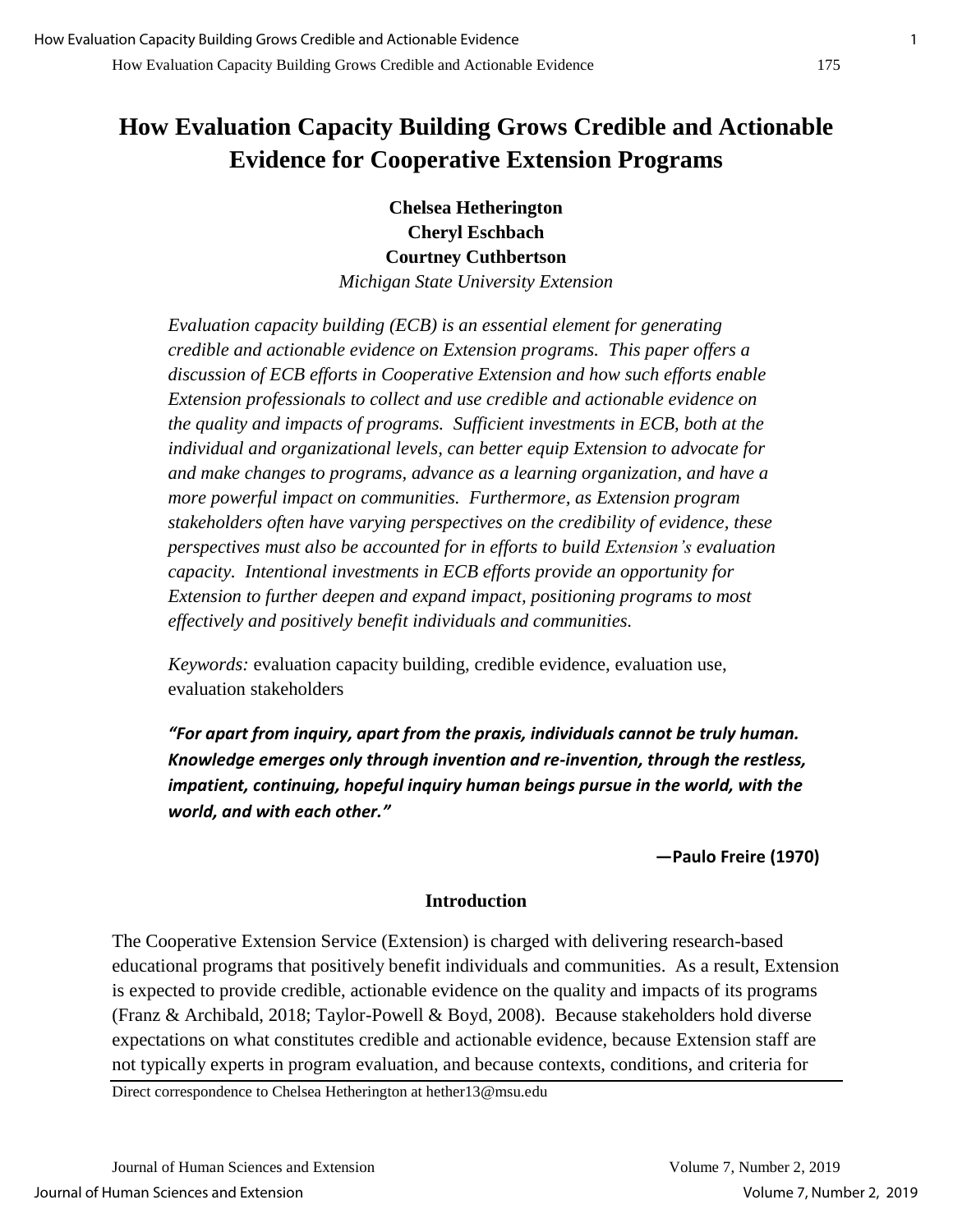## **How Evaluation Capacity Building Grows Credible and Actionable Evidence for Cooperative Extension Programs**

**Chelsea Hetherington Cheryl Eschbach Courtney Cuthbertson** *Michigan State University Extension*

*Evaluation capacity building (ECB) is an essential element for generating credible and actionable evidence on Extension programs. This paper offers a* 

*discussion of ECB efforts in Cooperative Extension and how such efforts enable Extension professionals to collect and use credible and actionable evidence on the quality and impacts of programs. Sufficient investments in ECB, both at the individual and organizational levels, can better equip Extension to advocate for and make changes to programs, advance as a learning organization, and have a more powerful impact on communities. Furthermore, as Extension program stakeholders often have varying perspectives on the credibility of evidence, these perspectives must also be accounted for in efforts to build Extension's evaluation capacity. Intentional investments in ECB efforts provide an opportunity for Extension to further deepen and expand impact, positioning programs to most effectively and positively benefit individuals and communities.*

*Keywords:* evaluation capacity building, credible evidence, evaluation use, evaluation stakeholders

*"For apart from inquiry, apart from the praxis, individuals cannot be truly human. Knowledge emerges only through invention and re-invention, through the restless, impatient, continuing, hopeful inquiry human beings pursue in the world, with the world, and with each other."*

**—Paulo Freire (1970)**

## **Introduction**

The Cooperative Extension Service (Extension) is charged with delivering research-based educational programs that positively benefit individuals and communities. As a result, Extension is expected to provide credible, actionable evidence on the quality and impacts of its programs (Franz & Archibald, 2018; Taylor-Powell & Boyd, 2008). Because stakeholders hold diverse expectations on what constitutes credible and actionable evidence, because Extension staff are not typically experts in program evaluation, and because contexts, conditions, and criteria for

Direct correspondence to Chelsea Hetherington at hether13@msu.edu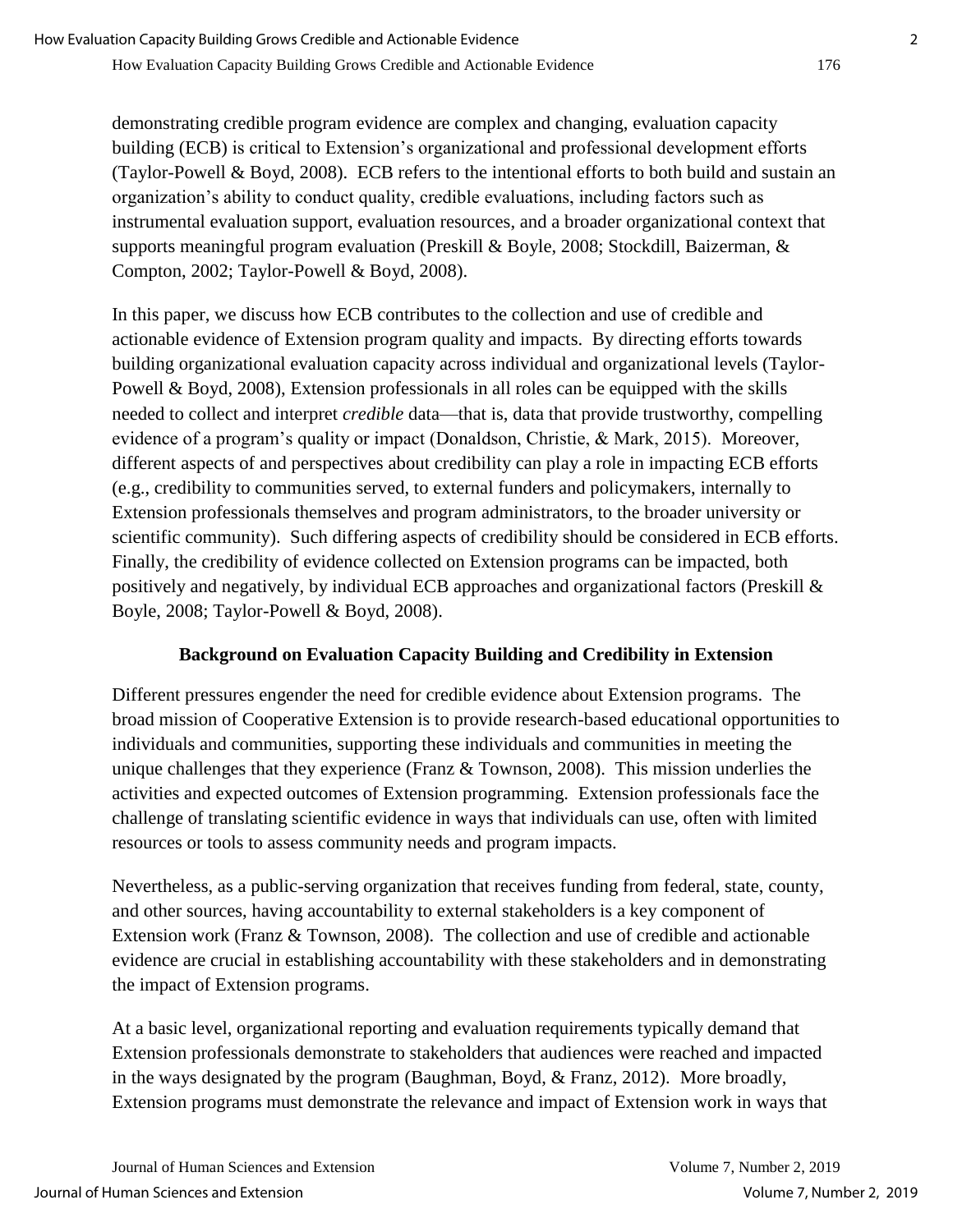demonstrating credible program evidence are complex and changing, evaluation capacity building (ECB) is critical to Extension's organizational and professional development efforts (Taylor-Powell & Boyd, 2008). ECB refers to the intentional efforts to both build and sustain an organization's ability to conduct quality, credible evaluations, including factors such as instrumental evaluation support, evaluation resources, and a broader organizational context that supports meaningful program evaluation (Preskill & Boyle, 2008; Stockdill, Baizerman, & Compton, 2002; Taylor-Powell & Boyd, 2008).

In this paper, we discuss how ECB contributes to the collection and use of credible and actionable evidence of Extension program quality and impacts. By directing efforts towards building organizational evaluation capacity across individual and organizational levels (Taylor-Powell & Boyd, 2008), Extension professionals in all roles can be equipped with the skills needed to collect and interpret *credible* data—that is, data that provide trustworthy, compelling evidence of a program's quality or impact (Donaldson, Christie, & Mark, 2015). Moreover, different aspects of and perspectives about credibility can play a role in impacting ECB efforts (e.g., credibility to communities served, to external funders and policymakers, internally to Extension professionals themselves and program administrators, to the broader university or scientific community). Such differing aspects of credibility should be considered in ECB efforts. Finally, the credibility of evidence collected on Extension programs can be impacted, both positively and negatively, by individual ECB approaches and organizational factors (Preskill & Boyle, 2008; Taylor-Powell & Boyd, 2008).

## **Background on Evaluation Capacity Building and Credibility in Extension**

Different pressures engender the need for credible evidence about Extension programs. The broad mission of Cooperative Extension is to provide research-based educational opportunities to individuals and communities, supporting these individuals and communities in meeting the unique challenges that they experience (Franz & Townson, 2008). This mission underlies the activities and expected outcomes of Extension programming. Extension professionals face the challenge of translating scientific evidence in ways that individuals can use, often with limited resources or tools to assess community needs and program impacts.

Nevertheless, as a public-serving organization that receives funding from federal, state, county, and other sources, having accountability to external stakeholders is a key component of Extension work (Franz & Townson, 2008). The collection and use of credible and actionable evidence are crucial in establishing accountability with these stakeholders and in demonstrating the impact of Extension programs.

At a basic level, organizational reporting and evaluation requirements typically demand that Extension professionals demonstrate to stakeholders that audiences were reached and impacted in the ways designated by the program (Baughman, Boyd, & Franz, 2012). More broadly, Extension programs must demonstrate the relevance and impact of Extension work in ways that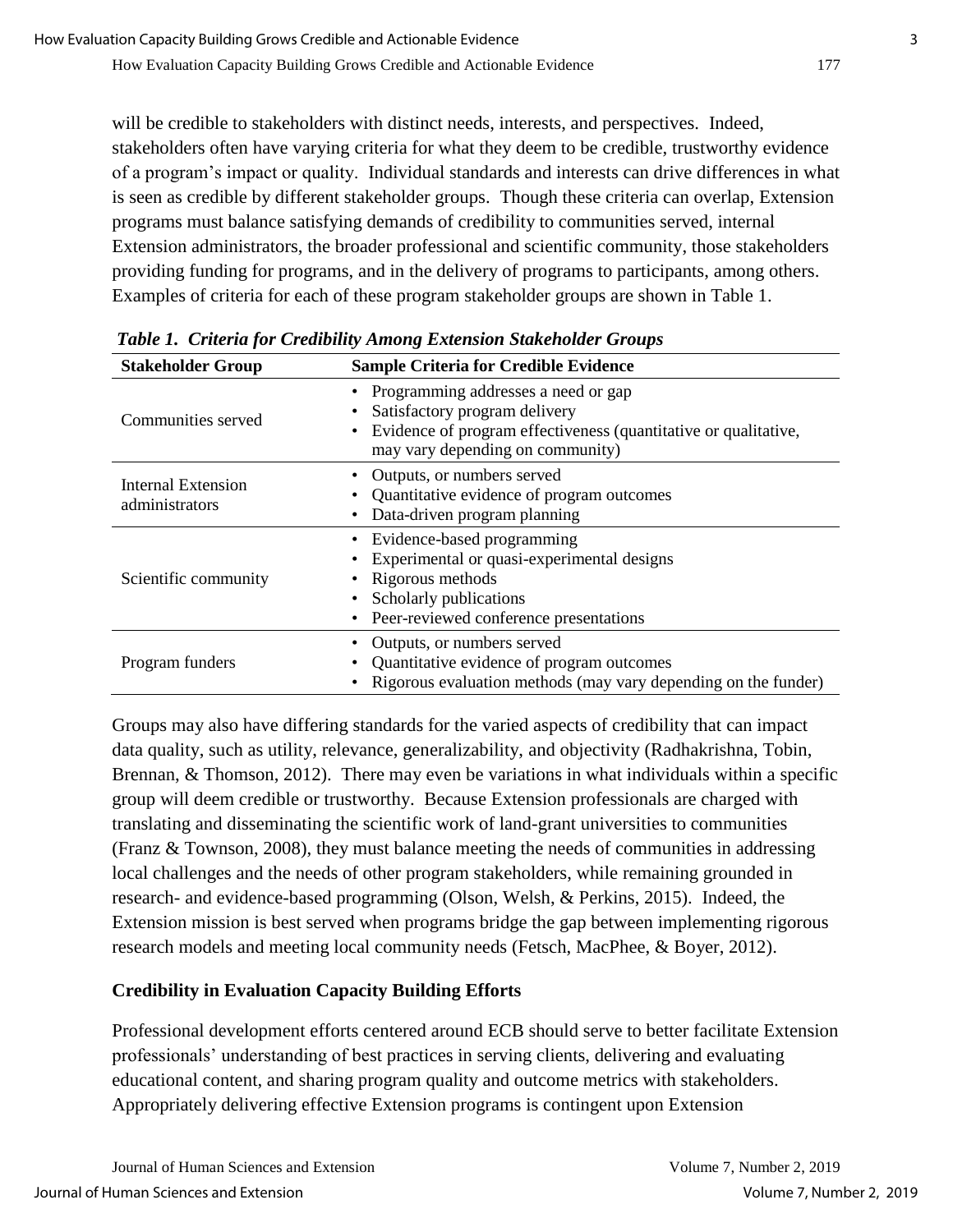will be credible to stakeholders with distinct needs, interests, and perspectives. Indeed, stakeholders often have varying criteria for what they deem to be credible, trustworthy evidence of a program's impact or quality. Individual standards and interests can drive differences in what is seen as credible by different stakeholder groups. Though these criteria can overlap, Extension programs must balance satisfying demands of credibility to communities served, internal Extension administrators, the broader professional and scientific community, those stakeholders providing funding for programs, and in the delivery of programs to participants, among others. Examples of criteria for each of these program stakeholder groups are shown in Table 1.

| <b>Stakeholder Group</b>             | <b>Sample Criteria for Credible Evidence</b>                                                                                                                                  |
|--------------------------------------|-------------------------------------------------------------------------------------------------------------------------------------------------------------------------------|
| Communities served                   | • Programming addresses a need or gap<br>Satisfactory program delivery<br>Evidence of program effectiveness (quantitative or qualitative,<br>may vary depending on community) |
| Internal Extension<br>administrators | • Outputs, or numbers served<br>Quantitative evidence of program outcomes<br>Data-driven program planning                                                                     |
| Scientific community                 | Evidence-based programming<br>Experimental or quasi-experimental designs<br>• Rigorous methods<br>Scholarly publications<br>• Peer-reviewed conference presentations          |
| Program funders                      | Outputs, or numbers served<br>Quantitative evidence of program outcomes<br>Rigorous evaluation methods (may vary depending on the funder)                                     |

*Table 1. Criteria for Credibility Among Extension Stakeholder Groups*

Groups may also have differing standards for the varied aspects of credibility that can impact data quality, such as utility, relevance, generalizability, and objectivity (Radhakrishna, Tobin, Brennan, & Thomson, 2012). There may even be variations in what individuals within a specific group will deem credible or trustworthy. Because Extension professionals are charged with translating and disseminating the scientific work of land-grant universities to communities (Franz & Townson, 2008), they must balance meeting the needs of communities in addressing local challenges and the needs of other program stakeholders, while remaining grounded in research- and evidence-based programming (Olson, Welsh, & Perkins, 2015). Indeed, the Extension mission is best served when programs bridge the gap between implementing rigorous research models and meeting local community needs (Fetsch, MacPhee, & Boyer, 2012).

## **Credibility in Evaluation Capacity Building Efforts**

Professional development efforts centered around ECB should serve to better facilitate Extension professionals' understanding of best practices in serving clients, delivering and evaluating educational content, and sharing program quality and outcome metrics with stakeholders. Appropriately delivering effective Extension programs is contingent upon Extension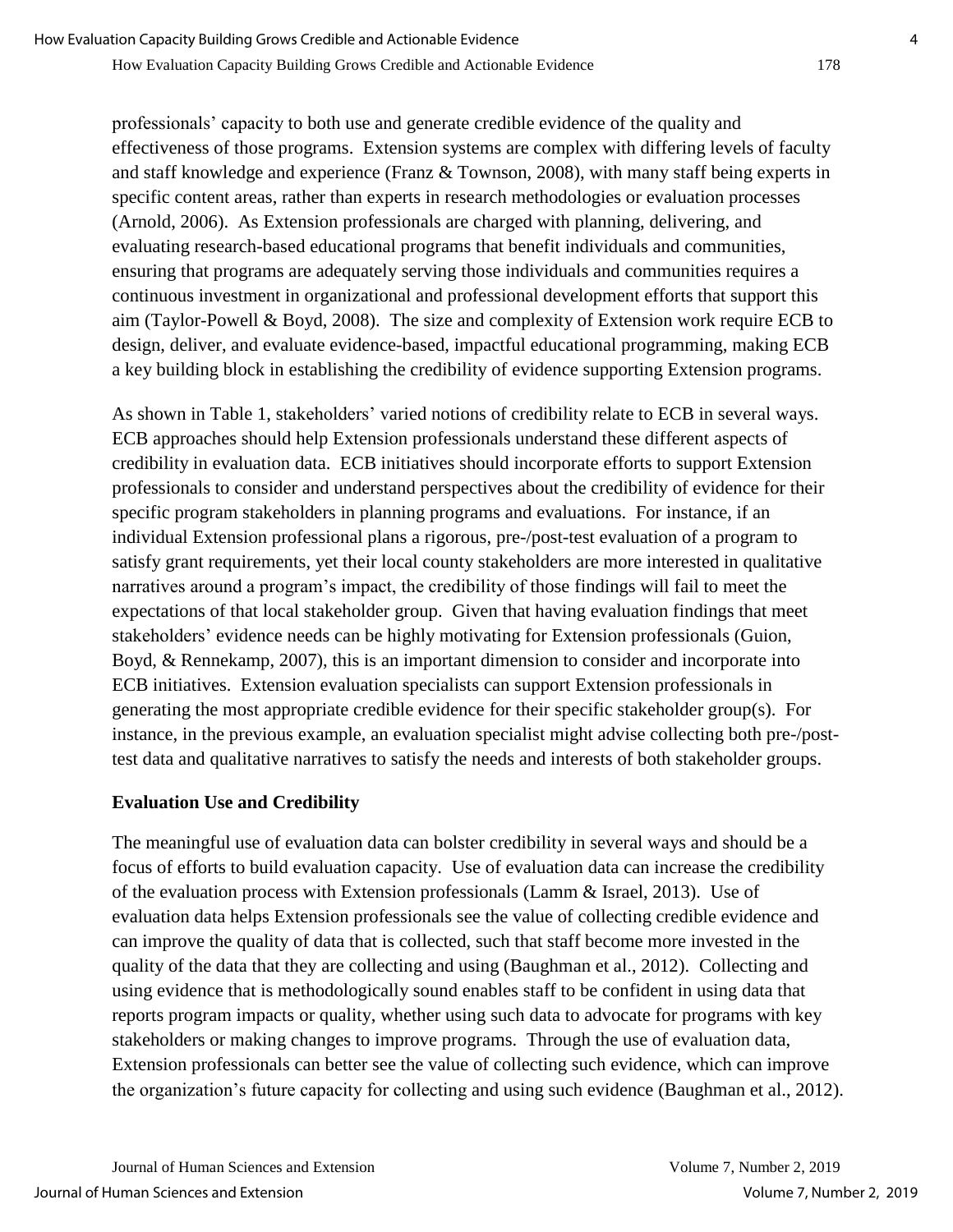professionals' capacity to both use and generate credible evidence of the quality and effectiveness of those programs. Extension systems are complex with differing levels of faculty and staff knowledge and experience (Franz & Townson, 2008), with many staff being experts in specific content areas, rather than experts in research methodologies or evaluation processes (Arnold, 2006). As Extension professionals are charged with planning, delivering, and evaluating research-based educational programs that benefit individuals and communities, ensuring that programs are adequately serving those individuals and communities requires a continuous investment in organizational and professional development efforts that support this aim (Taylor-Powell & Boyd, 2008). The size and complexity of Extension work require ECB to design, deliver, and evaluate evidence-based, impactful educational programming, making ECB a key building block in establishing the credibility of evidence supporting Extension programs.

As shown in Table 1, stakeholders' varied notions of credibility relate to ECB in several ways. ECB approaches should help Extension professionals understand these different aspects of credibility in evaluation data. ECB initiatives should incorporate efforts to support Extension professionals to consider and understand perspectives about the credibility of evidence for their specific program stakeholders in planning programs and evaluations. For instance, if an individual Extension professional plans a rigorous, pre-/post-test evaluation of a program to satisfy grant requirements, yet their local county stakeholders are more interested in qualitative narratives around a program's impact, the credibility of those findings will fail to meet the expectations of that local stakeholder group. Given that having evaluation findings that meet stakeholders' evidence needs can be highly motivating for Extension professionals (Guion, Boyd, & Rennekamp, 2007), this is an important dimension to consider and incorporate into ECB initiatives. Extension evaluation specialists can support Extension professionals in generating the most appropriate credible evidence for their specific stakeholder group(s). For instance, in the previous example, an evaluation specialist might advise collecting both pre-/posttest data and qualitative narratives to satisfy the needs and interests of both stakeholder groups.

## **Evaluation Use and Credibility**

The meaningful use of evaluation data can bolster credibility in several ways and should be a focus of efforts to build evaluation capacity. Use of evaluation data can increase the credibility of the evaluation process with Extension professionals (Lamm & Israel, 2013). Use of evaluation data helps Extension professionals see the value of collecting credible evidence and can improve the quality of data that is collected, such that staff become more invested in the quality of the data that they are collecting and using (Baughman et al., 2012). Collecting and using evidence that is methodologically sound enables staff to be confident in using data that reports program impacts or quality, whether using such data to advocate for programs with key stakeholders or making changes to improve programs. Through the use of evaluation data, Extension professionals can better see the value of collecting such evidence, which can improve the organization's future capacity for collecting and using such evidence (Baughman et al., 2012).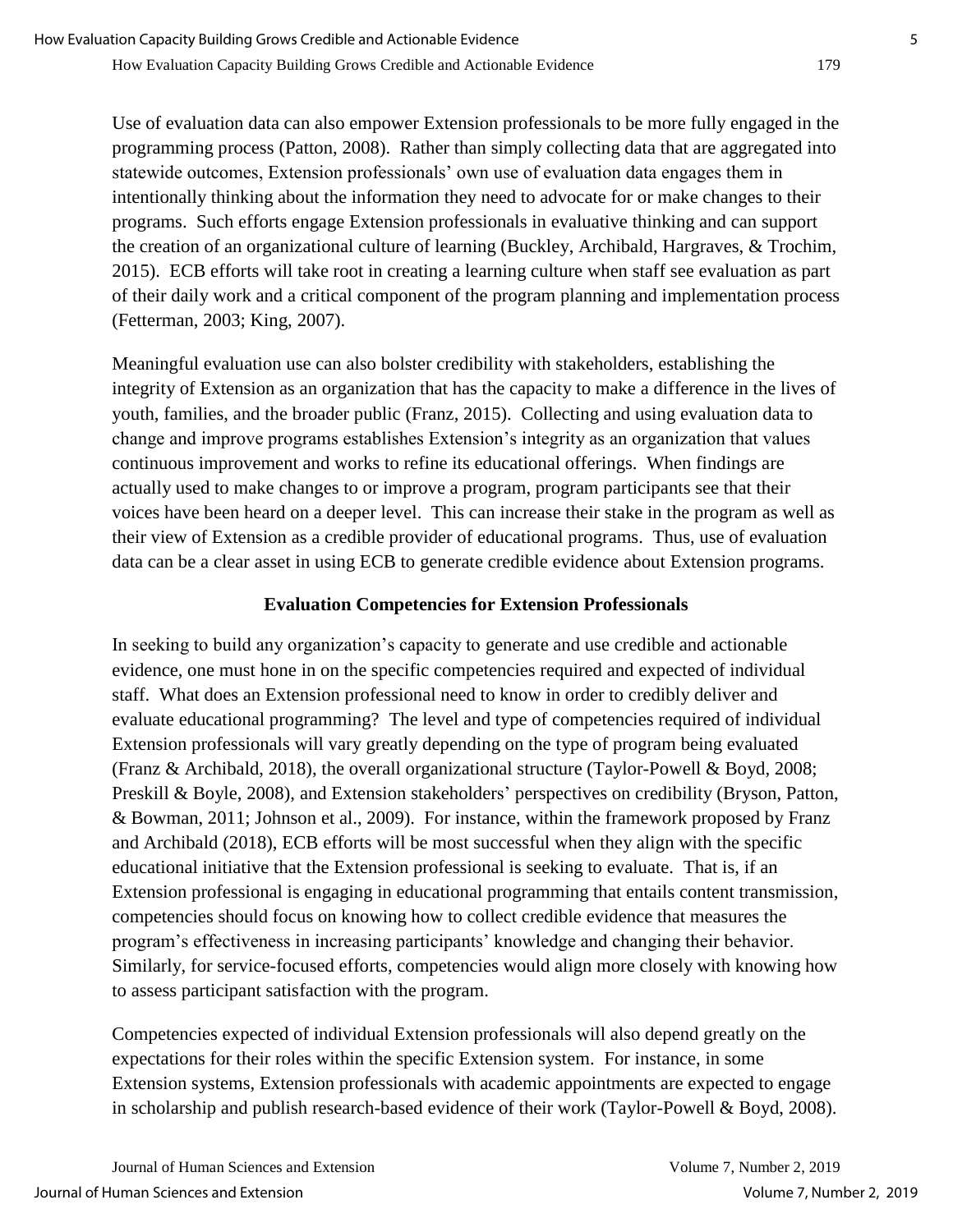Use of evaluation data can also empower Extension professionals to be more fully engaged in the programming process (Patton, 2008). Rather than simply collecting data that are aggregated into statewide outcomes, Extension professionals' own use of evaluation data engages them in intentionally thinking about the information they need to advocate for or make changes to their programs. Such efforts engage Extension professionals in evaluative thinking and can support the creation of an organizational culture of learning (Buckley, Archibald, Hargraves, & Trochim, 2015). ECB efforts will take root in creating a learning culture when staff see evaluation as part of their daily work and a critical component of the program planning and implementation process (Fetterman, 2003; King, 2007).

Meaningful evaluation use can also bolster credibility with stakeholders, establishing the integrity of Extension as an organization that has the capacity to make a difference in the lives of youth, families, and the broader public (Franz, 2015). Collecting and using evaluation data to change and improve programs establishes Extension's integrity as an organization that values continuous improvement and works to refine its educational offerings. When findings are actually used to make changes to or improve a program, program participants see that their voices have been heard on a deeper level. This can increase their stake in the program as well as their view of Extension as a credible provider of educational programs. Thus, use of evaluation data can be a clear asset in using ECB to generate credible evidence about Extension programs.

#### **Evaluation Competencies for Extension Professionals**

In seeking to build any organization's capacity to generate and use credible and actionable evidence, one must hone in on the specific competencies required and expected of individual staff. What does an Extension professional need to know in order to credibly deliver and evaluate educational programming? The level and type of competencies required of individual Extension professionals will vary greatly depending on the type of program being evaluated (Franz & Archibald, 2018), the overall organizational structure (Taylor-Powell & Boyd, 2008; Preskill & Boyle, 2008), and Extension stakeholders' perspectives on credibility (Bryson, Patton, & Bowman, 2011; Johnson et al., 2009). For instance, within the framework proposed by Franz and Archibald (2018), ECB efforts will be most successful when they align with the specific educational initiative that the Extension professional is seeking to evaluate. That is, if an Extension professional is engaging in educational programming that entails content transmission, competencies should focus on knowing how to collect credible evidence that measures the program's effectiveness in increasing participants' knowledge and changing their behavior. Similarly, for service-focused efforts, competencies would align more closely with knowing how to assess participant satisfaction with the program.

Competencies expected of individual Extension professionals will also depend greatly on the expectations for their roles within the specific Extension system. For instance, in some Extension systems, Extension professionals with academic appointments are expected to engage in scholarship and publish research-based evidence of their work (Taylor-Powell & Boyd, 2008).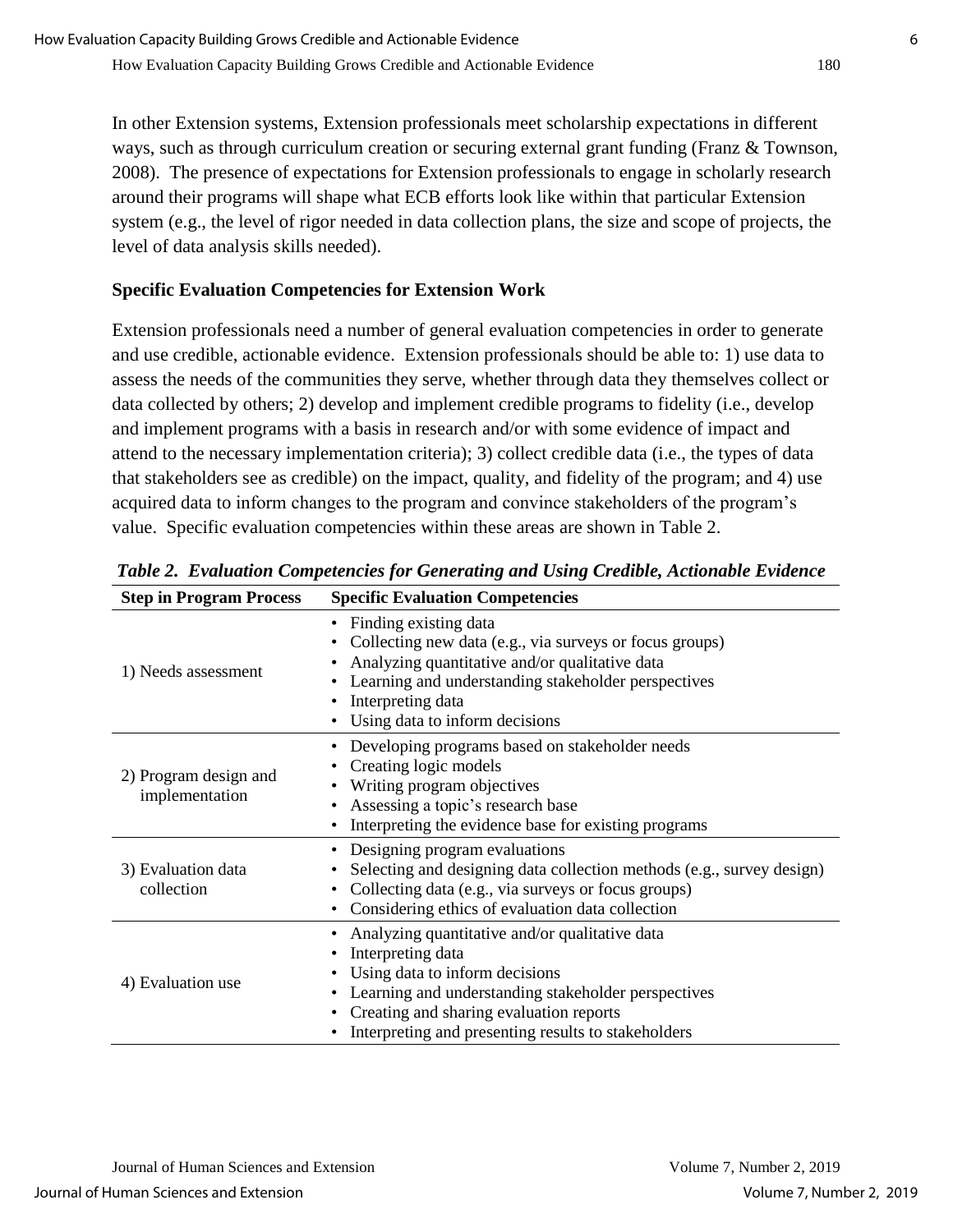In other Extension systems, Extension professionals meet scholarship expectations in different ways, such as through curriculum creation or securing external grant funding (Franz & Townson, 2008). The presence of expectations for Extension professionals to engage in scholarly research around their programs will shape what ECB efforts look like within that particular Extension system (e.g., the level of rigor needed in data collection plans, the size and scope of projects, the level of data analysis skills needed).

## **Specific Evaluation Competencies for Extension Work**

Extension professionals need a number of general evaluation competencies in order to generate and use credible, actionable evidence. Extension professionals should be able to: 1) use data to assess the needs of the communities they serve, whether through data they themselves collect or data collected by others; 2) develop and implement credible programs to fidelity (i.e., develop and implement programs with a basis in research and/or with some evidence of impact and attend to the necessary implementation criteria); 3) collect credible data (i.e., the types of data that stakeholders see as credible) on the impact, quality, and fidelity of the program; and 4) use acquired data to inform changes to the program and convince stakeholders of the program's value. Specific evaluation competencies within these areas are shown in Table 2.

| <b>Step in Program Process</b>          | <b>Specific Evaluation Competencies</b>                                                                                                                                                                                                                                     |
|-----------------------------------------|-----------------------------------------------------------------------------------------------------------------------------------------------------------------------------------------------------------------------------------------------------------------------------|
| 1) Needs assessment                     | • Finding existing data<br>Collecting new data (e.g., via surveys or focus groups)<br>Analyzing quantitative and/or qualitative data<br>Learning and understanding stakeholder perspectives<br>Interpreting data<br>Using data to inform decisions                          |
| 2) Program design and<br>implementation | Developing programs based on stakeholder needs<br>Creating logic models<br>Writing program objectives<br>Assessing a topic's research base<br>Interpreting the evidence base for existing programs                                                                          |
| 3) Evaluation data<br>collection        | • Designing program evaluations<br>Selecting and designing data collection methods (e.g., survey design)<br>Collecting data (e.g., via surveys or focus groups)<br>$\bullet$<br>Considering ethics of evaluation data collection                                            |
| 4) Evaluation use                       | Analyzing quantitative and/or qualitative data<br>Interpreting data<br>Using data to inform decisions<br>Learning and understanding stakeholder perspectives<br>$\bullet$<br>Creating and sharing evaluation reports<br>Interpreting and presenting results to stakeholders |

*Table 2. Evaluation Competencies for Generating and Using Credible, Actionable Evidence*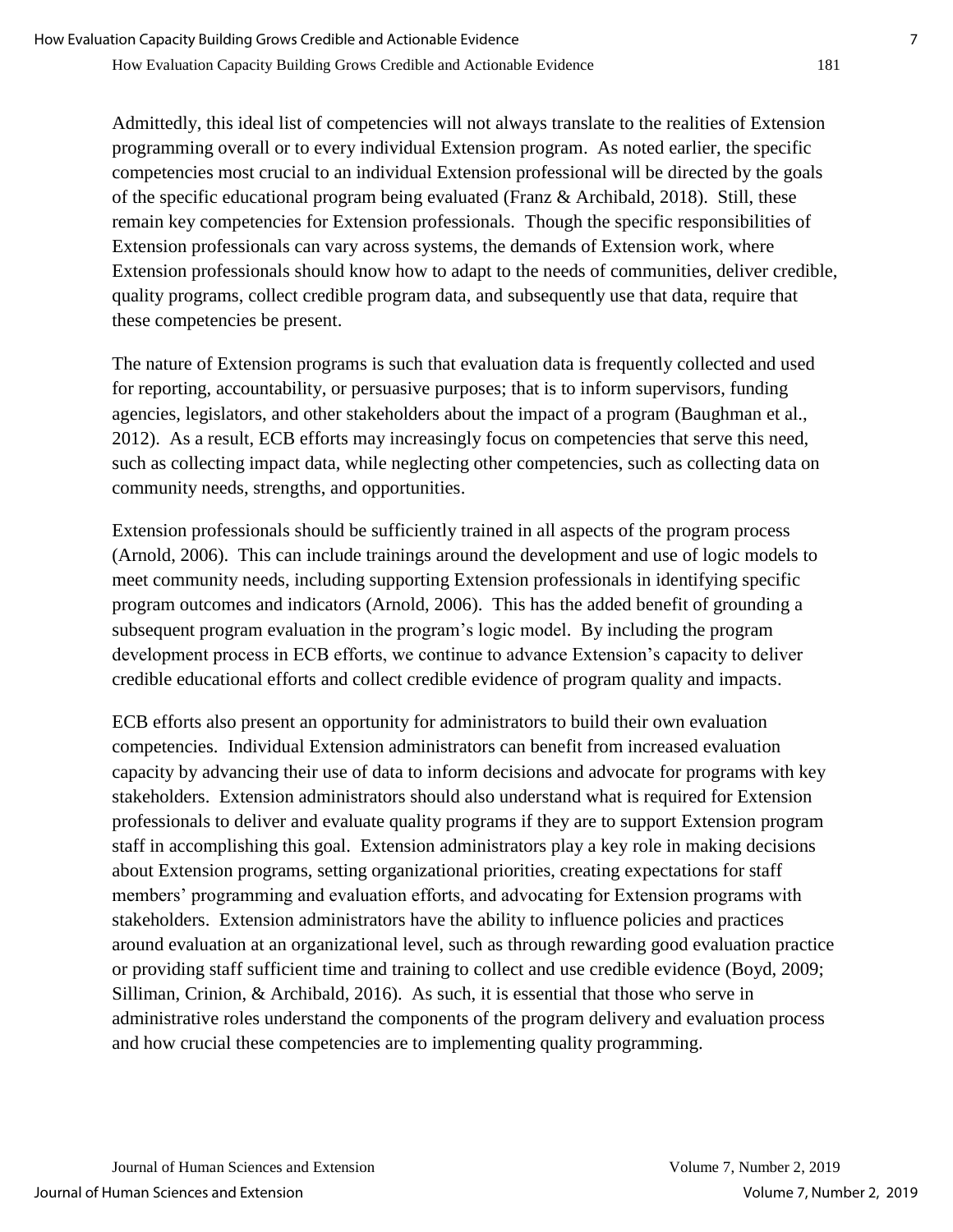Admittedly, this ideal list of competencies will not always translate to the realities of Extension programming overall or to every individual Extension program. As noted earlier, the specific competencies most crucial to an individual Extension professional will be directed by the goals of the specific educational program being evaluated (Franz & Archibald, 2018). Still, these remain key competencies for Extension professionals. Though the specific responsibilities of Extension professionals can vary across systems, the demands of Extension work, where Extension professionals should know how to adapt to the needs of communities, deliver credible, quality programs, collect credible program data, and subsequently use that data, require that these competencies be present.

The nature of Extension programs is such that evaluation data is frequently collected and used for reporting, accountability, or persuasive purposes; that is to inform supervisors, funding agencies, legislators, and other stakeholders about the impact of a program (Baughman et al., 2012). As a result, ECB efforts may increasingly focus on competencies that serve this need, such as collecting impact data, while neglecting other competencies, such as collecting data on community needs, strengths, and opportunities.

Extension professionals should be sufficiently trained in all aspects of the program process (Arnold, 2006). This can include trainings around the development and use of logic models to meet community needs, including supporting Extension professionals in identifying specific program outcomes and indicators (Arnold, 2006). This has the added benefit of grounding a subsequent program evaluation in the program's logic model. By including the program development process in ECB efforts, we continue to advance Extension's capacity to deliver credible educational efforts and collect credible evidence of program quality and impacts.

ECB efforts also present an opportunity for administrators to build their own evaluation competencies. Individual Extension administrators can benefit from increased evaluation capacity by advancing their use of data to inform decisions and advocate for programs with key stakeholders. Extension administrators should also understand what is required for Extension professionals to deliver and evaluate quality programs if they are to support Extension program staff in accomplishing this goal. Extension administrators play a key role in making decisions about Extension programs, setting organizational priorities, creating expectations for staff members' programming and evaluation efforts, and advocating for Extension programs with stakeholders. Extension administrators have the ability to influence policies and practices around evaluation at an organizational level, such as through rewarding good evaluation practice or providing staff sufficient time and training to collect and use credible evidence (Boyd, 2009; Silliman, Crinion, & Archibald, 2016). As such, it is essential that those who serve in administrative roles understand the components of the program delivery and evaluation process and how crucial these competencies are to implementing quality programming.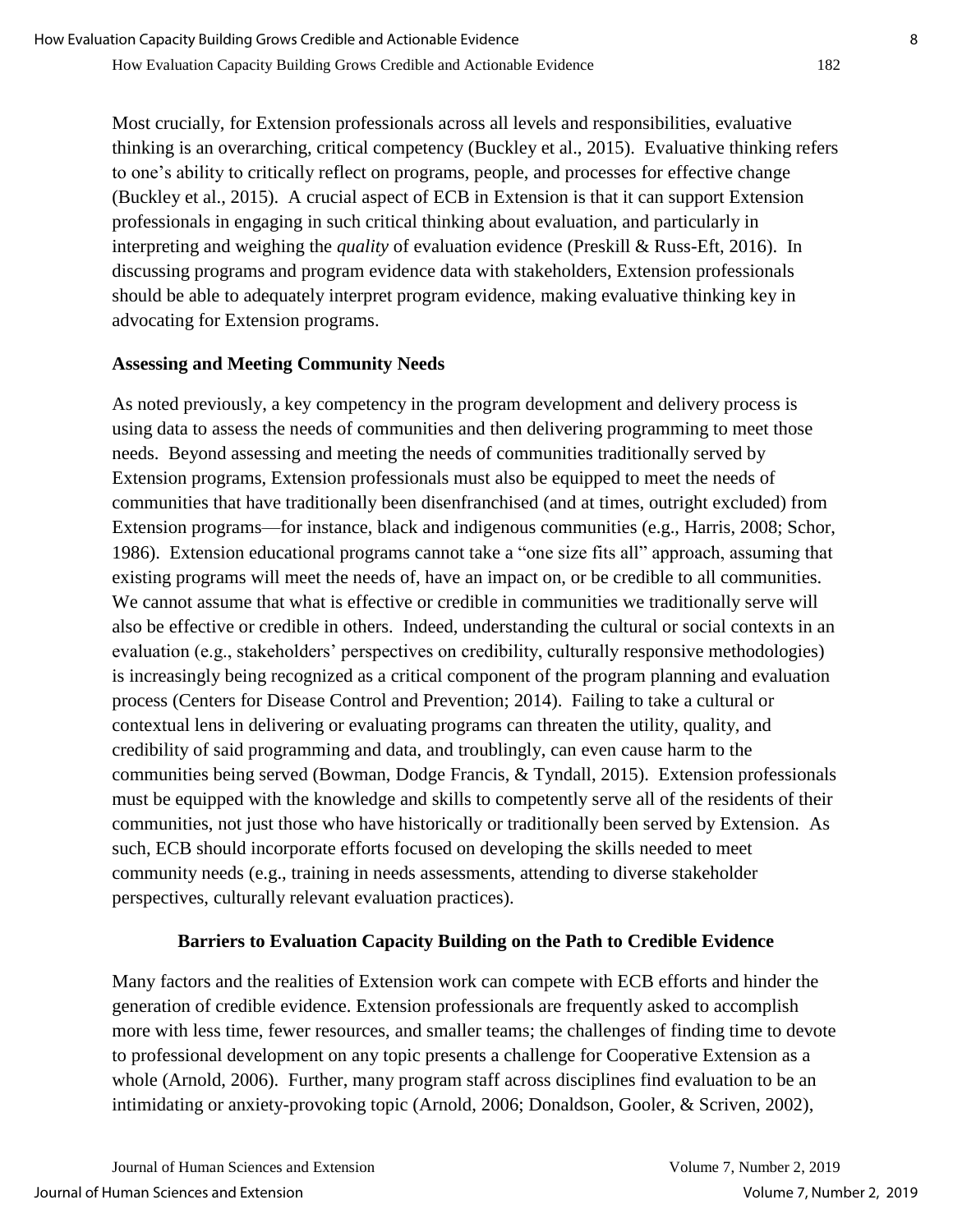Most crucially, for Extension professionals across all levels and responsibilities, evaluative thinking is an overarching, critical competency (Buckley et al., 2015). Evaluative thinking refers to one's ability to critically reflect on programs, people, and processes for effective change (Buckley et al., 2015). A crucial aspect of ECB in Extension is that it can support Extension professionals in engaging in such critical thinking about evaluation, and particularly in interpreting and weighing the *quality* of evaluation evidence (Preskill & Russ-Eft, 2016). In discussing programs and program evidence data with stakeholders, Extension professionals should be able to adequately interpret program evidence, making evaluative thinking key in advocating for Extension programs.

#### **Assessing and Meeting Community Needs**

As noted previously, a key competency in the program development and delivery process is using data to assess the needs of communities and then delivering programming to meet those needs. Beyond assessing and meeting the needs of communities traditionally served by Extension programs, Extension professionals must also be equipped to meet the needs of communities that have traditionally been disenfranchised (and at times, outright excluded) from Extension programs—for instance, black and indigenous communities (e.g., Harris, 2008; Schor, 1986). Extension educational programs cannot take a "one size fits all" approach, assuming that existing programs will meet the needs of, have an impact on, or be credible to all communities. We cannot assume that what is effective or credible in communities we traditionally serve will also be effective or credible in others. Indeed, understanding the cultural or social contexts in an evaluation (e.g., stakeholders' perspectives on credibility, culturally responsive methodologies) is increasingly being recognized as a critical component of the program planning and evaluation process (Centers for Disease Control and Prevention; 2014). Failing to take a cultural or contextual lens in delivering or evaluating programs can threaten the utility, quality, and credibility of said programming and data, and troublingly, can even cause harm to the communities being served (Bowman, Dodge Francis, & Tyndall, 2015). Extension professionals must be equipped with the knowledge and skills to competently serve all of the residents of their communities, not just those who have historically or traditionally been served by Extension. As such, ECB should incorporate efforts focused on developing the skills needed to meet community needs (e.g., training in needs assessments, attending to diverse stakeholder perspectives, culturally relevant evaluation practices).

## **Barriers to Evaluation Capacity Building on the Path to Credible Evidence**

Many factors and the realities of Extension work can compete with ECB efforts and hinder the generation of credible evidence. Extension professionals are frequently asked to accomplish more with less time, fewer resources, and smaller teams; the challenges of finding time to devote to professional development on any topic presents a challenge for Cooperative Extension as a whole (Arnold, 2006). Further, many program staff across disciplines find evaluation to be an intimidating or anxiety-provoking topic (Arnold, 2006; Donaldson, Gooler, & Scriven, 2002),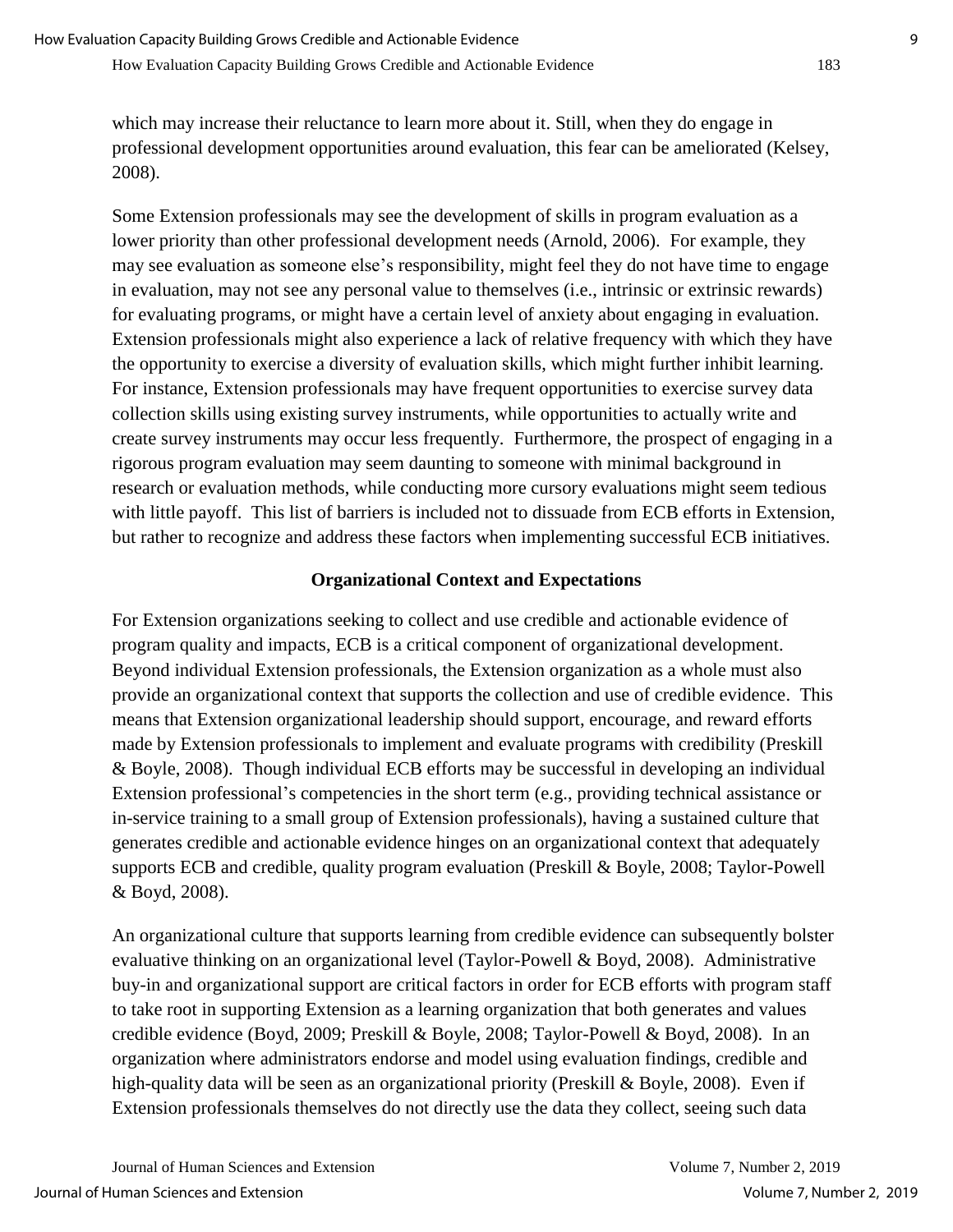How Evaluation Capacity Building Grows Credible and Actionable Evidence 183

which may increase their reluctance to learn more about it. Still, when they do engage in professional development opportunities around evaluation, this fear can be ameliorated (Kelsey, 2008).

Some Extension professionals may see the development of skills in program evaluation as a lower priority than other professional development needs (Arnold, 2006). For example, they may see evaluation as someone else's responsibility, might feel they do not have time to engage in evaluation, may not see any personal value to themselves (i.e., intrinsic or extrinsic rewards) for evaluating programs, or might have a certain level of anxiety about engaging in evaluation. Extension professionals might also experience a lack of relative frequency with which they have the opportunity to exercise a diversity of evaluation skills, which might further inhibit learning. For instance, Extension professionals may have frequent opportunities to exercise survey data collection skills using existing survey instruments, while opportunities to actually write and create survey instruments may occur less frequently. Furthermore, the prospect of engaging in a rigorous program evaluation may seem daunting to someone with minimal background in research or evaluation methods, while conducting more cursory evaluations might seem tedious with little payoff. This list of barriers is included not to dissuade from ECB efforts in Extension, but rather to recognize and address these factors when implementing successful ECB initiatives.

#### **Organizational Context and Expectations**

For Extension organizations seeking to collect and use credible and actionable evidence of program quality and impacts, ECB is a critical component of organizational development. Beyond individual Extension professionals, the Extension organization as a whole must also provide an organizational context that supports the collection and use of credible evidence. This means that Extension organizational leadership should support, encourage, and reward efforts made by Extension professionals to implement and evaluate programs with credibility (Preskill & Boyle, 2008). Though individual ECB efforts may be successful in developing an individual Extension professional's competencies in the short term (e.g., providing technical assistance or in-service training to a small group of Extension professionals), having a sustained culture that generates credible and actionable evidence hinges on an organizational context that adequately supports ECB and credible, quality program evaluation (Preskill & Boyle, 2008; Taylor-Powell & Boyd, 2008).

An organizational culture that supports learning from credible evidence can subsequently bolster evaluative thinking on an organizational level (Taylor-Powell & Boyd, 2008). Administrative buy-in and organizational support are critical factors in order for ECB efforts with program staff to take root in supporting Extension as a learning organization that both generates and values credible evidence (Boyd, 2009; Preskill & Boyle, 2008; Taylor-Powell & Boyd, 2008). In an organization where administrators endorse and model using evaluation findings, credible and high-quality data will be seen as an organizational priority (Preskill & Boyle, 2008). Even if Extension professionals themselves do not directly use the data they collect, seeing such data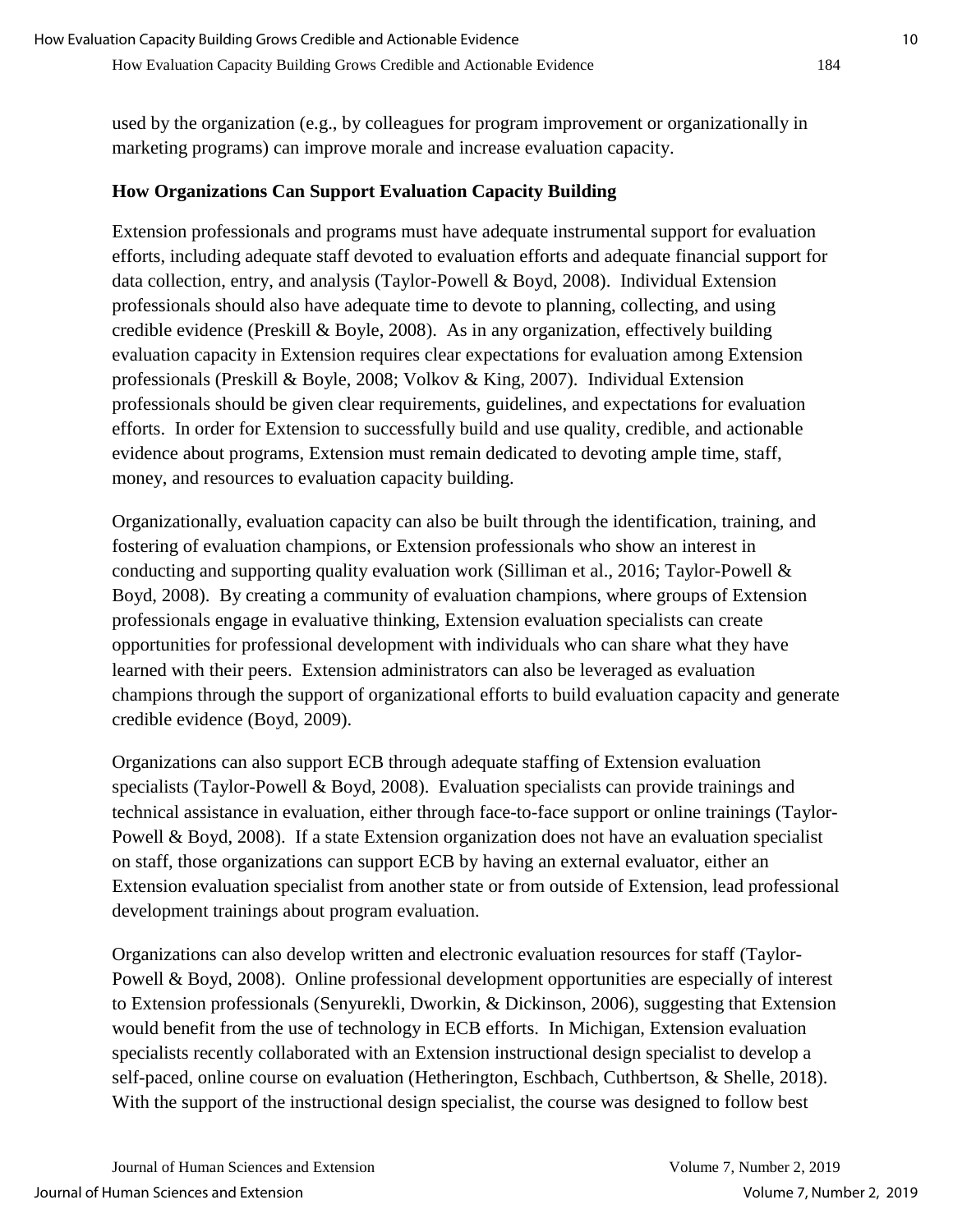used by the organization (e.g., by colleagues for program improvement or organizationally in marketing programs) can improve morale and increase evaluation capacity.

#### **How Organizations Can Support Evaluation Capacity Building**

Extension professionals and programs must have adequate instrumental support for evaluation efforts, including adequate staff devoted to evaluation efforts and adequate financial support for data collection, entry, and analysis (Taylor-Powell & Boyd, 2008). Individual Extension professionals should also have adequate time to devote to planning, collecting, and using credible evidence (Preskill & Boyle, 2008). As in any organization, effectively building evaluation capacity in Extension requires clear expectations for evaluation among Extension professionals (Preskill & Boyle, 2008; Volkov & King, 2007). Individual Extension professionals should be given clear requirements, guidelines, and expectations for evaluation efforts. In order for Extension to successfully build and use quality, credible, and actionable evidence about programs, Extension must remain dedicated to devoting ample time, staff, money, and resources to evaluation capacity building.

Organizationally, evaluation capacity can also be built through the identification, training, and fostering of evaluation champions, or Extension professionals who show an interest in conducting and supporting quality evaluation work (Silliman et al., 2016; Taylor-Powell & Boyd, 2008). By creating a community of evaluation champions, where groups of Extension professionals engage in evaluative thinking, Extension evaluation specialists can create opportunities for professional development with individuals who can share what they have learned with their peers. Extension administrators can also be leveraged as evaluation champions through the support of organizational efforts to build evaluation capacity and generate credible evidence (Boyd, 2009).

Organizations can also support ECB through adequate staffing of Extension evaluation specialists (Taylor-Powell & Boyd, 2008). Evaluation specialists can provide trainings and technical assistance in evaluation, either through face-to-face support or online trainings (Taylor-Powell & Boyd, 2008). If a state Extension organization does not have an evaluation specialist on staff, those organizations can support ECB by having an external evaluator, either an Extension evaluation specialist from another state or from outside of Extension, lead professional development trainings about program evaluation.

Organizations can also develop written and electronic evaluation resources for staff (Taylor-Powell & Boyd, 2008). Online professional development opportunities are especially of interest to Extension professionals (Senyurekli, Dworkin, & Dickinson, 2006), suggesting that Extension would benefit from the use of technology in ECB efforts. In Michigan, Extension evaluation specialists recently collaborated with an Extension instructional design specialist to develop a self-paced, online course on evaluation (Hetherington, Eschbach, Cuthbertson, & Shelle, 2018). With the support of the instructional design specialist, the course was designed to follow best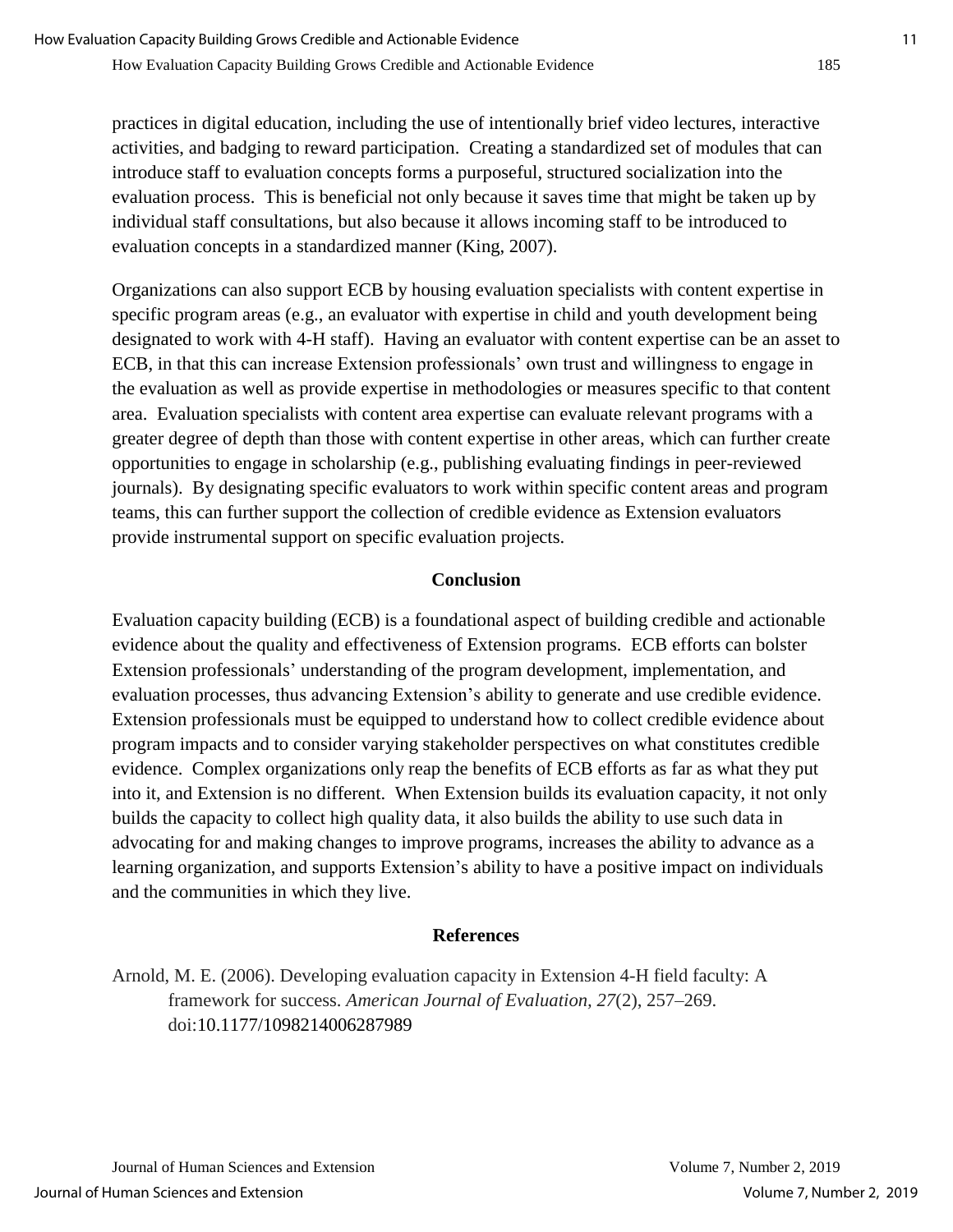practices in digital education, including the use of intentionally brief video lectures, interactive activities, and badging to reward participation. Creating a standardized set of modules that can introduce staff to evaluation concepts forms a purposeful, structured socialization into the evaluation process. This is beneficial not only because it saves time that might be taken up by individual staff consultations, but also because it allows incoming staff to be introduced to evaluation concepts in a standardized manner (King, 2007).

Organizations can also support ECB by housing evaluation specialists with content expertise in specific program areas (e.g., an evaluator with expertise in child and youth development being designated to work with 4-H staff). Having an evaluator with content expertise can be an asset to ECB, in that this can increase Extension professionals' own trust and willingness to engage in the evaluation as well as provide expertise in methodologies or measures specific to that content area. Evaluation specialists with content area expertise can evaluate relevant programs with a greater degree of depth than those with content expertise in other areas, which can further create opportunities to engage in scholarship (e.g., publishing evaluating findings in peer-reviewed journals). By designating specific evaluators to work within specific content areas and program teams, this can further support the collection of credible evidence as Extension evaluators provide instrumental support on specific evaluation projects.

#### **Conclusion**

Evaluation capacity building (ECB) is a foundational aspect of building credible and actionable evidence about the quality and effectiveness of Extension programs. ECB efforts can bolster Extension professionals' understanding of the program development, implementation, and evaluation processes, thus advancing Extension's ability to generate and use credible evidence. Extension professionals must be equipped to understand how to collect credible evidence about program impacts and to consider varying stakeholder perspectives on what constitutes credible evidence. Complex organizations only reap the benefits of ECB efforts as far as what they put into it, and Extension is no different. When Extension builds its evaluation capacity, it not only builds the capacity to collect high quality data, it also builds the ability to use such data in advocating for and making changes to improve programs, increases the ability to advance as a learning organization, and supports Extension's ability to have a positive impact on individuals and the communities in which they live.

## **References**

Arnold, M. E. (2006). Developing evaluation capacity in Extension 4-H field faculty: A framework for success. *American Journal of Evaluation, 27*(2), 257–269. doi:10.1177/1098214006287989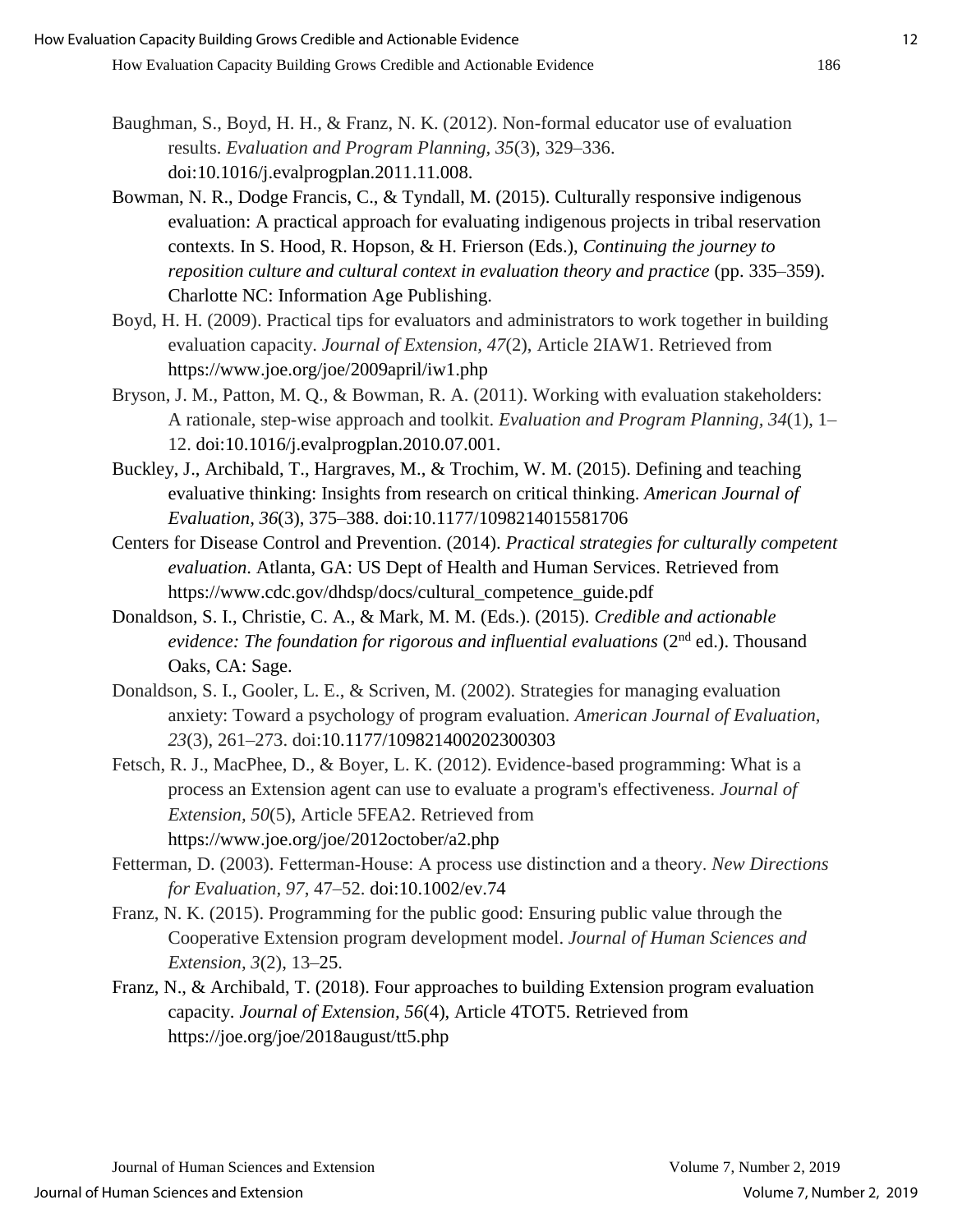- Baughman, S., Boyd, H. H., & Franz, N. K. (2012). Non-formal educator use of evaluation results. *Evaluation and Program Planning, 35*(3), 329–336. doi:10.1016/j.evalprogplan.2011.11.008.
- Bowman, N. R., Dodge Francis, C., & Tyndall, M. (2015). Culturally responsive indigenous evaluation: A practical approach for evaluating indigenous projects in tribal reservation contexts. In S. Hood, R. Hopson, & H. Frierson (Eds.), *Continuing the journey to reposition culture and cultural context in evaluation theory and practice* (pp. 335–359). Charlotte NC: Information Age Publishing.
- Boyd, H. H. (2009). Practical tips for evaluators and administrators to work together in building evaluation capacity. *Journal of Extension, 47*(2), Article 2IAW1. Retrieved from https://www.joe.org/joe/2009april/iw1.php
- Bryson, J. M., Patton, M. Q., & Bowman, R. A. (2011). Working with evaluation stakeholders: A rationale, step-wise approach and toolkit. *Evaluation and Program Planning, 34*(1), 1– 12. doi:10.1016/j.evalprogplan.2010.07.001.
- Buckley, J., Archibald, T., Hargraves, M., & Trochim, W. M. (2015). Defining and teaching evaluative thinking: Insights from research on critical thinking. *American Journal of Evaluation, 36*(3), 375–388. doi:10.1177/1098214015581706
- Centers for Disease Control and Prevention. (2014). *Practical strategies for culturally competent evaluation*. Atlanta, GA: US Dept of Health and Human Services. Retrieved from https://www.cdc.gov/dhdsp/docs/cultural\_competence\_guide.pdf
- Donaldson, S. I., Christie, C. A., & Mark, M. M. (Eds.). (2015). *Credible and actionable evidence: The foundation for rigorous and influential evaluations* (2<sup>nd</sup> ed.). Thousand Oaks, CA: Sage.
- Donaldson, S. I., Gooler, L. E., & Scriven, M. (2002). Strategies for managing evaluation anxiety: Toward a psychology of program evaluation. *American Journal of Evaluation, 23*(3), 261–273. doi:10.1177/109821400202300303
- Fetsch, R. J., MacPhee, D., & Boyer, L. K. (2012). Evidence-based programming: What is a process an Extension agent can use to evaluate a program's effectiveness. *Journal of Extension, 50*(5), Article 5FEA2. Retrieved from https://www.joe.org/joe/2012october/a2.php
- Fetterman, D. (2003). Fetterman‐House: A process use distinction and a theory. *New Directions for Evaluation, 97*, 47–52. doi:10.1002/ev.74
- Franz, N. K. (2015). Programming for the public good: Ensuring public value through the Cooperative Extension program development model. *Journal of Human Sciences and Extension, 3*(2), 13–25.
- Franz, N., & Archibald, T. (2018). Four approaches to building Extension program evaluation capacity. *Journal of Extension, 56*(4), Article 4TOT5. Retrieved from https://joe.org/joe/2018august/tt5.php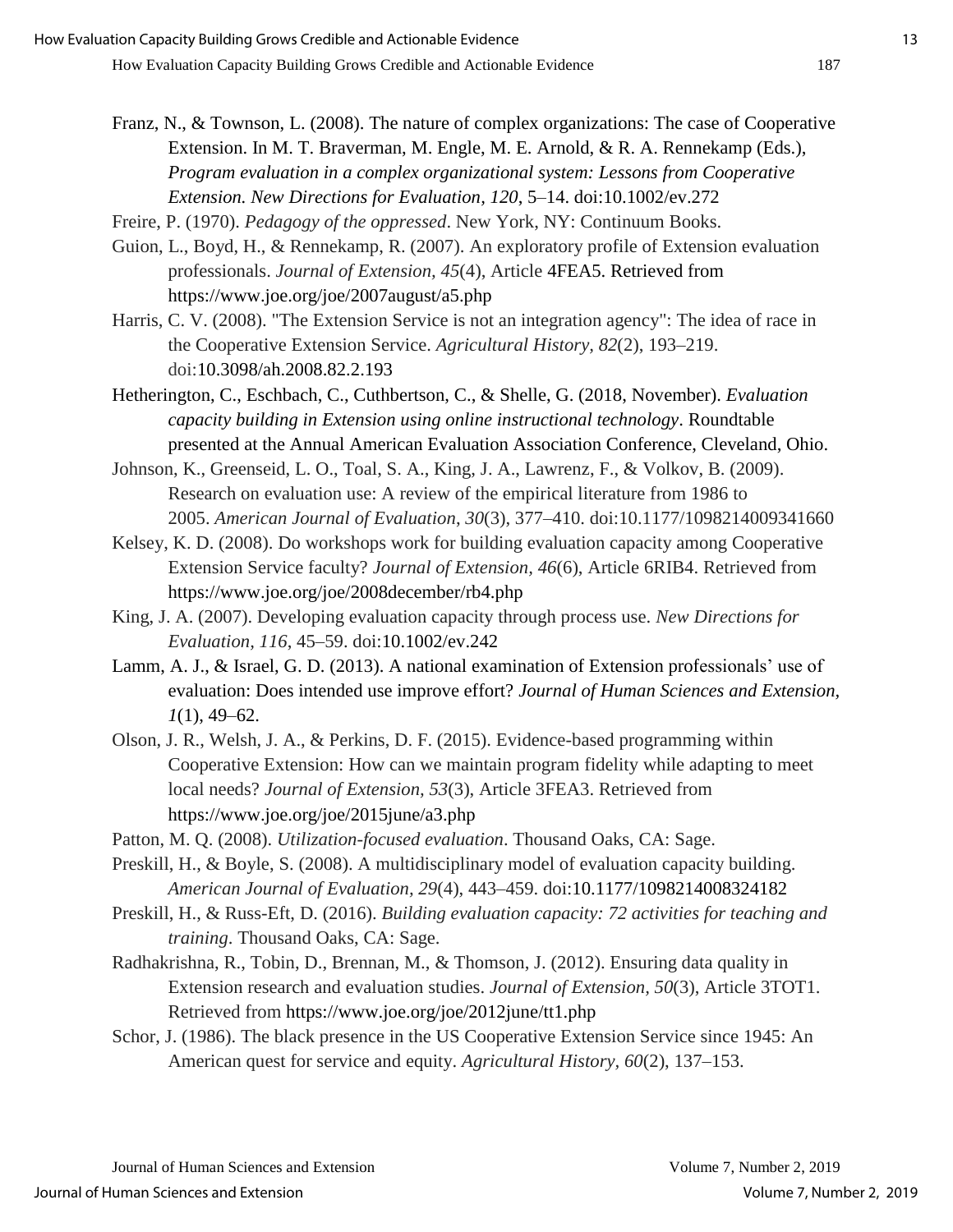- Franz, N., & Townson, L. (2008). The nature of complex organizations: The case of Cooperative Extension. In M. T. Braverman, M. Engle, M. E. Arnold, & R. A. Rennekamp (Eds.), *Program evaluation in a complex organizational system: Lessons from Cooperative Extension. New Directions for Evaluation, 120*, 5–14. doi:10.1002/ev.272
- Freire, P. (1970). *Pedagogy of the oppressed*. New York, NY: Continuum Books.
- Guion, L., Boyd, H., & Rennekamp, R. (2007). An exploratory profile of Extension evaluation professionals. *Journal of Extension, 45*(4), Article 4FEA5. Retrieved from https://www.joe.org/joe/2007august/a5.php
- Harris, C. V. (2008). "The Extension Service is not an integration agency": The idea of race in the Cooperative Extension Service. *Agricultural History, 82*(2), 193–219. doi:10.3098/ah.2008.82.2.193
- Hetherington, C., Eschbach, C., Cuthbertson, C., & Shelle, G. (2018, November). *Evaluation capacity building in Extension using online instructional technology*. Roundtable presented at the Annual American Evaluation Association Conference, Cleveland, Ohio.
- Johnson, K., Greenseid, L. O., Toal, S. A., King, J. A., Lawrenz, F., & Volkov, B. (2009). Research on evaluation use: A review of the empirical literature from 1986 to 2005. *American Journal of Evaluation*, *30*(3), 377–410. doi:10.1177/1098214009341660
- Kelsey, K. D. (2008). Do workshops work for building evaluation capacity among Cooperative Extension Service faculty? *Journal of Extension, 46*(6), Article 6RIB4. Retrieved from https://www.joe.org/joe/2008december/rb4.php
- King, J. A. (2007). Developing evaluation capacity through process use. *New Directions for Evaluation, 116*, 45–59. doi:10.1002/ev.242
- Lamm, A. J., & Israel, G. D. (2013). A national examination of Extension professionals' use of evaluation: Does intended use improve effort? *Journal of Human Sciences and Extension, 1*(1), 49–62.
- Olson, J. R., Welsh, J. A., & Perkins, D. F. (2015). Evidence-based programming within Cooperative Extension: How can we maintain program fidelity while adapting to meet local needs? *Journal of Extension, 53*(3), Article 3FEA3. Retrieved from https://www.joe.org/joe/2015june/a3.php
- Patton, M. Q. (2008). *Utilization-focused evaluation*. Thousand Oaks, CA: Sage.
- Preskill, H., & Boyle, S. (2008). A multidisciplinary model of evaluation capacity building. *American Journal of Evaluation, 29*(4), 443–459. doi:10.1177/1098214008324182
- Preskill, H., & Russ-Eft, D. (2016). *Building evaluation capacity: 72 activities for teaching and training*. Thousand Oaks, CA: Sage.
- Radhakrishna, R., Tobin, D., Brennan, M., & Thomson, J. (2012). Ensuring data quality in Extension research and evaluation studies. *Journal of Extension, 50*(3), Article 3TOT1. Retrieved from https://www.joe.org/joe/2012june/tt1.php
- Schor, J. (1986). The black presence in the US Cooperative Extension Service since 1945: An American quest for service and equity. *Agricultural History, 60*(2), 137–153.